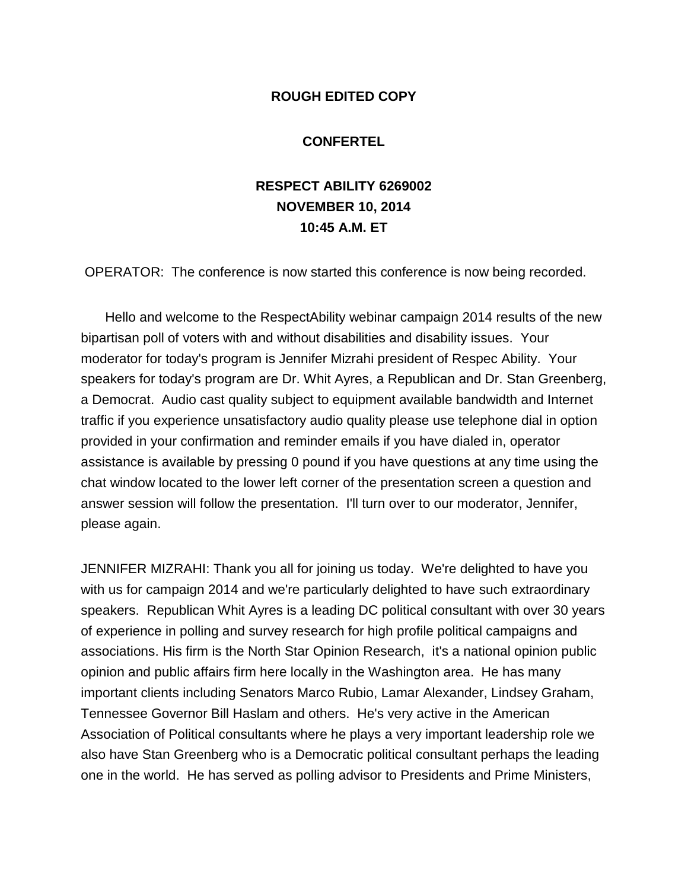## **ROUGH EDITED COPY**

## **CONFERTEL**

## **RESPECT ABILITY 6269002 NOVEMBER 10, 2014 10:45 A.M. ET**

OPERATOR: The conference is now started this conference is now being recorded.

Hello and welcome to the RespectAbility webinar campaign 2014 results of the new bipartisan poll of voters with and without disabilities and disability issues. Your moderator for today's program is Jennifer Mizrahi president of Respec Ability. Your speakers for today's program are Dr. Whit Ayres, a Republican and Dr. Stan Greenberg, a Democrat. Audio cast quality subject to equipment available bandwidth and Internet traffic if you experience unsatisfactory audio quality please use telephone dial in option provided in your confirmation and reminder emails if you have dialed in, operator assistance is available by pressing 0 pound if you have questions at any time using the chat window located to the lower left corner of the presentation screen a question and answer session will follow the presentation. I'll turn over to our moderator, Jennifer, please again.

JENNIFER MIZRAHI: Thank you all for joining us today. We're delighted to have you with us for campaign 2014 and we're particularly delighted to have such extraordinary speakers. Republican Whit Ayres is a leading DC political consultant with over 30 years of experience in polling and survey research for high profile political campaigns and associations. His firm is the North Star Opinion Research, it's a national opinion public opinion and public affairs firm here locally in the Washington area. He has many important clients including Senators Marco Rubio, Lamar Alexander, Lindsey Graham, Tennessee Governor Bill Haslam and others. He's very active in the American Association of Political consultants where he plays a very important leadership role we also have Stan Greenberg who is a Democratic political consultant perhaps the leading one in the world. He has served as polling advisor to Presidents and Prime Ministers,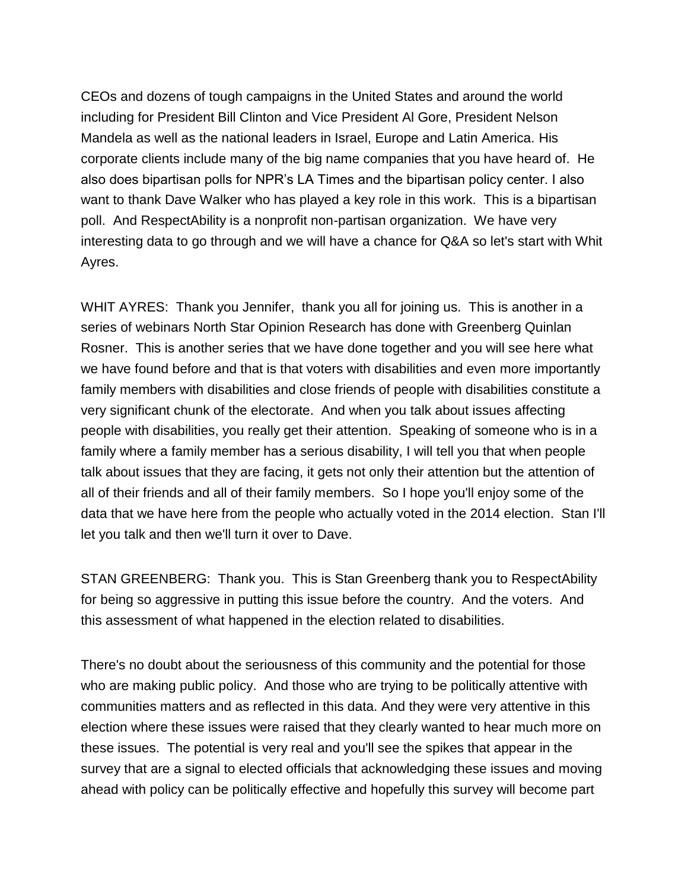CEOs and dozens of tough campaigns in the United States and around the world including for President Bill Clinton and Vice President Al Gore, President Nelson Mandela as well as the national leaders in Israel, Europe and Latin America. His corporate clients include many of the big name companies that you have heard of. He also does bipartisan polls for NPR's LA Times and the bipartisan policy center. I also want to thank Dave Walker who has played a key role in this work. This is a bipartisan poll. And RespectAbility is a nonprofit non-partisan organization. We have very interesting data to go through and we will have a chance for Q&A so let's start with Whit Ayres.

WHIT AYRES: Thank you Jennifer, thank you all for joining us. This is another in a series of webinars North Star Opinion Research has done with Greenberg Quinlan Rosner. This is another series that we have done together and you will see here what we have found before and that is that voters with disabilities and even more importantly family members with disabilities and close friends of people with disabilities constitute a very significant chunk of the electorate. And when you talk about issues affecting people with disabilities, you really get their attention. Speaking of someone who is in a family where a family member has a serious disability, I will tell you that when people talk about issues that they are facing, it gets not only their attention but the attention of all of their friends and all of their family members. So I hope you'll enjoy some of the data that we have here from the people who actually voted in the 2014 election. Stan I'll let you talk and then we'll turn it over to Dave.

STAN GREENBERG: Thank you. This is Stan Greenberg thank you to RespectAbility for being so aggressive in putting this issue before the country. And the voters. And this assessment of what happened in the election related to disabilities.

There's no doubt about the seriousness of this community and the potential for those who are making public policy. And those who are trying to be politically attentive with communities matters and as reflected in this data. And they were very attentive in this election where these issues were raised that they clearly wanted to hear much more on these issues. The potential is very real and you'll see the spikes that appear in the survey that are a signal to elected officials that acknowledging these issues and moving ahead with policy can be politically effective and hopefully this survey will become part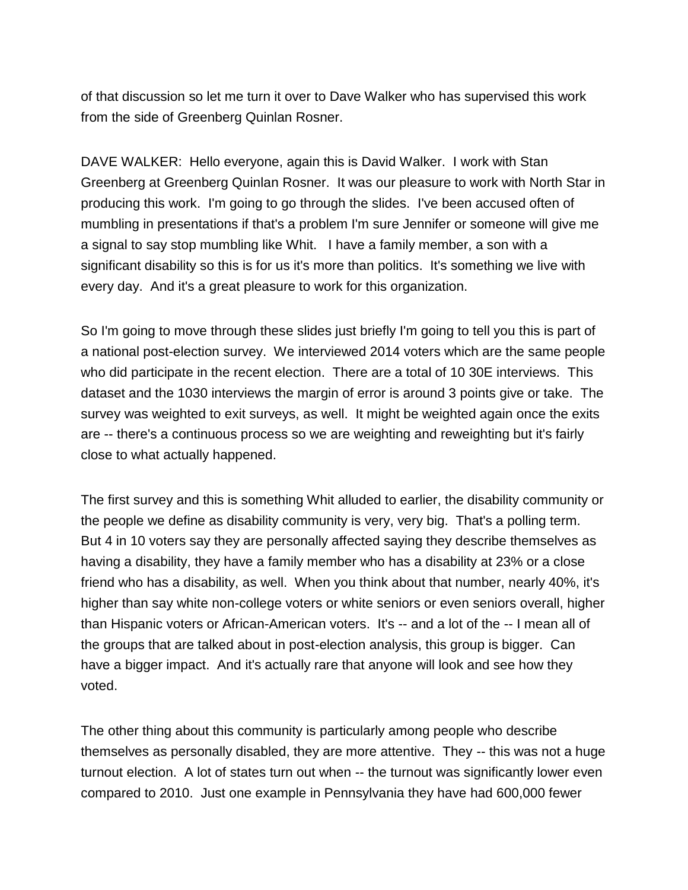of that discussion so let me turn it over to Dave Walker who has supervised this work from the side of Greenberg Quinlan Rosner.

DAVE WALKER: Hello everyone, again this is David Walker. I work with Stan Greenberg at Greenberg Quinlan Rosner. It was our pleasure to work with North Star in producing this work. I'm going to go through the slides. I've been accused often of mumbling in presentations if that's a problem I'm sure Jennifer or someone will give me a signal to say stop mumbling like Whit. I have a family member, a son with a significant disability so this is for us it's more than politics. It's something we live with every day. And it's a great pleasure to work for this organization.

So I'm going to move through these slides just briefly I'm going to tell you this is part of a national post-election survey. We interviewed 2014 voters which are the same people who did participate in the recent election. There are a total of 10 30E interviews. This dataset and the 1030 interviews the margin of error is around 3 points give or take. The survey was weighted to exit surveys, as well. It might be weighted again once the exits are -- there's a continuous process so we are weighting and reweighting but it's fairly close to what actually happened.

The first survey and this is something Whit alluded to earlier, the disability community or the people we define as disability community is very, very big. That's a polling term. But 4 in 10 voters say they are personally affected saying they describe themselves as having a disability, they have a family member who has a disability at 23% or a close friend who has a disability, as well. When you think about that number, nearly 40%, it's higher than say white non-college voters or white seniors or even seniors overall, higher than Hispanic voters or African-American voters. It's -- and a lot of the -- I mean all of the groups that are talked about in post-election analysis, this group is bigger. Can have a bigger impact. And it's actually rare that anyone will look and see how they voted.

The other thing about this community is particularly among people who describe themselves as personally disabled, they are more attentive. They -- this was not a huge turnout election. A lot of states turn out when -- the turnout was significantly lower even compared to 2010. Just one example in Pennsylvania they have had 600,000 fewer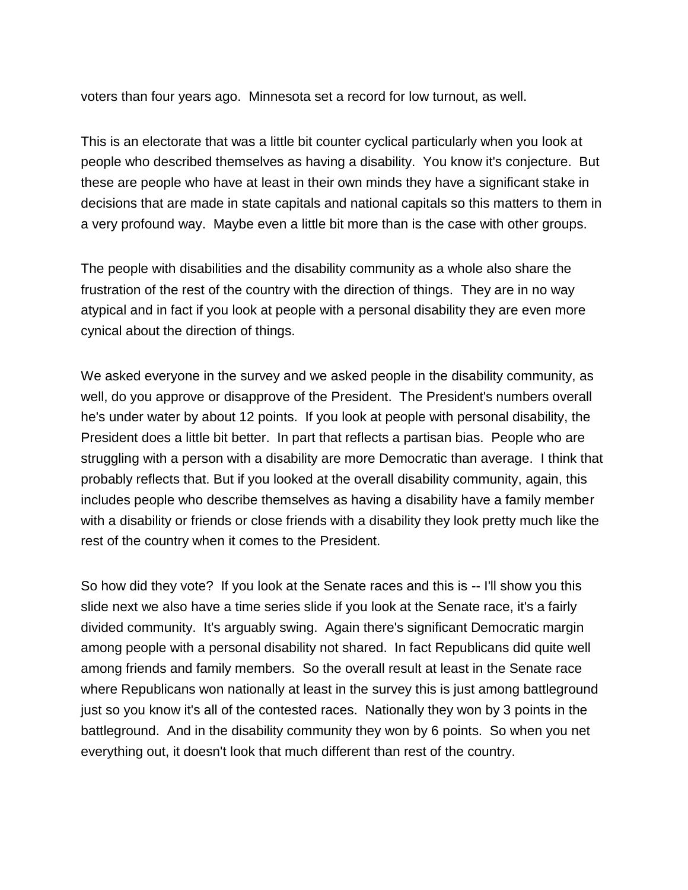voters than four years ago. Minnesota set a record for low turnout, as well.

This is an electorate that was a little bit counter cyclical particularly when you look at people who described themselves as having a disability. You know it's conjecture. But these are people who have at least in their own minds they have a significant stake in decisions that are made in state capitals and national capitals so this matters to them in a very profound way. Maybe even a little bit more than is the case with other groups.

The people with disabilities and the disability community as a whole also share the frustration of the rest of the country with the direction of things. They are in no way atypical and in fact if you look at people with a personal disability they are even more cynical about the direction of things.

We asked everyone in the survey and we asked people in the disability community, as well, do you approve or disapprove of the President. The President's numbers overall he's under water by about 12 points. If you look at people with personal disability, the President does a little bit better. In part that reflects a partisan bias. People who are struggling with a person with a disability are more Democratic than average. I think that probably reflects that. But if you looked at the overall disability community, again, this includes people who describe themselves as having a disability have a family member with a disability or friends or close friends with a disability they look pretty much like the rest of the country when it comes to the President.

So how did they vote? If you look at the Senate races and this is -- I'll show you this slide next we also have a time series slide if you look at the Senate race, it's a fairly divided community. It's arguably swing. Again there's significant Democratic margin among people with a personal disability not shared. In fact Republicans did quite well among friends and family members. So the overall result at least in the Senate race where Republicans won nationally at least in the survey this is just among battleground just so you know it's all of the contested races. Nationally they won by 3 points in the battleground. And in the disability community they won by 6 points. So when you net everything out, it doesn't look that much different than rest of the country.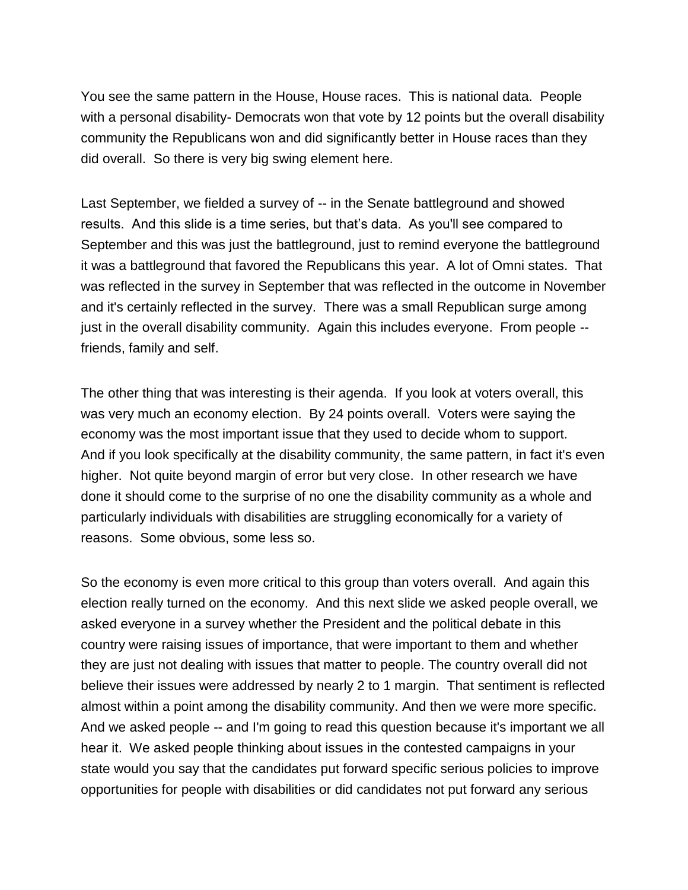You see the same pattern in the House, House races. This is national data. People with a personal disability- Democrats won that vote by 12 points but the overall disability community the Republicans won and did significantly better in House races than they did overall. So there is very big swing element here.

Last September, we fielded a survey of -- in the Senate battleground and showed results. And this slide is a time series, but that's data. As you'll see compared to September and this was just the battleground, just to remind everyone the battleground it was a battleground that favored the Republicans this year. A lot of Omni states. That was reflected in the survey in September that was reflected in the outcome in November and it's certainly reflected in the survey. There was a small Republican surge among just in the overall disability community. Again this includes everyone. From people - friends, family and self.

The other thing that was interesting is their agenda. If you look at voters overall, this was very much an economy election. By 24 points overall. Voters were saying the economy was the most important issue that they used to decide whom to support. And if you look specifically at the disability community, the same pattern, in fact it's even higher. Not quite beyond margin of error but very close. In other research we have done it should come to the surprise of no one the disability community as a whole and particularly individuals with disabilities are struggling economically for a variety of reasons. Some obvious, some less so.

So the economy is even more critical to this group than voters overall. And again this election really turned on the economy. And this next slide we asked people overall, we asked everyone in a survey whether the President and the political debate in this country were raising issues of importance, that were important to them and whether they are just not dealing with issues that matter to people. The country overall did not believe their issues were addressed by nearly 2 to 1 margin. That sentiment is reflected almost within a point among the disability community. And then we were more specific. And we asked people -- and I'm going to read this question because it's important we all hear it. We asked people thinking about issues in the contested campaigns in your state would you say that the candidates put forward specific serious policies to improve opportunities for people with disabilities or did candidates not put forward any serious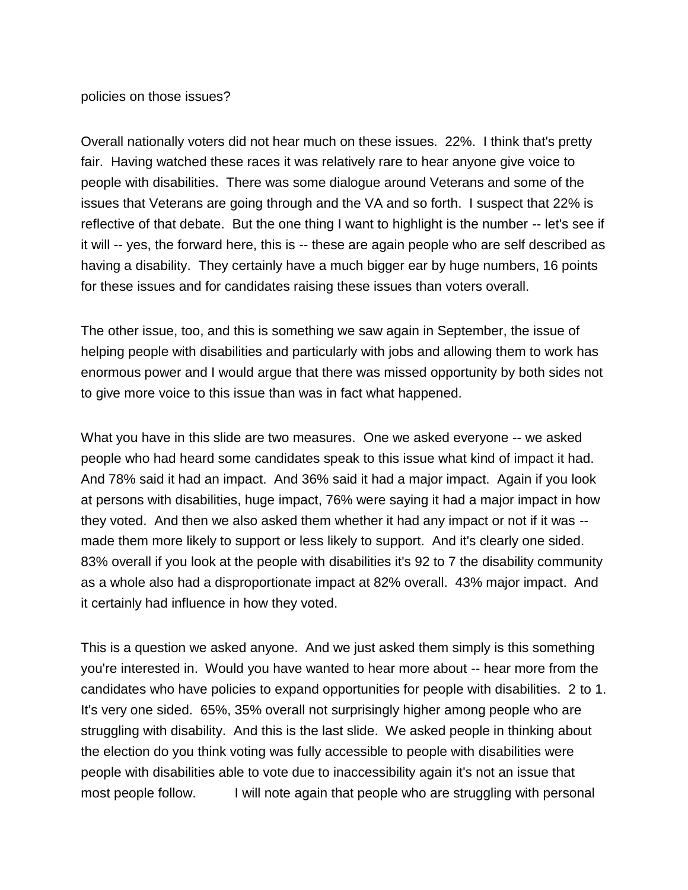## policies on those issues?

Overall nationally voters did not hear much on these issues. 22%. I think that's pretty fair. Having watched these races it was relatively rare to hear anyone give voice to people with disabilities. There was some dialogue around Veterans and some of the issues that Veterans are going through and the VA and so forth. I suspect that 22% is reflective of that debate. But the one thing I want to highlight is the number -- let's see if it will -- yes, the forward here, this is -- these are again people who are self described as having a disability. They certainly have a much bigger ear by huge numbers, 16 points for these issues and for candidates raising these issues than voters overall.

The other issue, too, and this is something we saw again in September, the issue of helping people with disabilities and particularly with jobs and allowing them to work has enormous power and I would argue that there was missed opportunity by both sides not to give more voice to this issue than was in fact what happened.

What you have in this slide are two measures. One we asked everyone -- we asked people who had heard some candidates speak to this issue what kind of impact it had. And 78% said it had an impact. And 36% said it had a major impact. Again if you look at persons with disabilities, huge impact, 76% were saying it had a major impact in how they voted. And then we also asked them whether it had any impact or not if it was - made them more likely to support or less likely to support. And it's clearly one sided. 83% overall if you look at the people with disabilities it's 92 to 7 the disability community as a whole also had a disproportionate impact at 82% overall. 43% major impact. And it certainly had influence in how they voted.

This is a question we asked anyone. And we just asked them simply is this something you're interested in. Would you have wanted to hear more about -- hear more from the candidates who have policies to expand opportunities for people with disabilities. 2 to 1. It's very one sided. 65%, 35% overall not surprisingly higher among people who are struggling with disability. And this is the last slide. We asked people in thinking about the election do you think voting was fully accessible to people with disabilities were people with disabilities able to vote due to inaccessibility again it's not an issue that most people follow. I will note again that people who are struggling with personal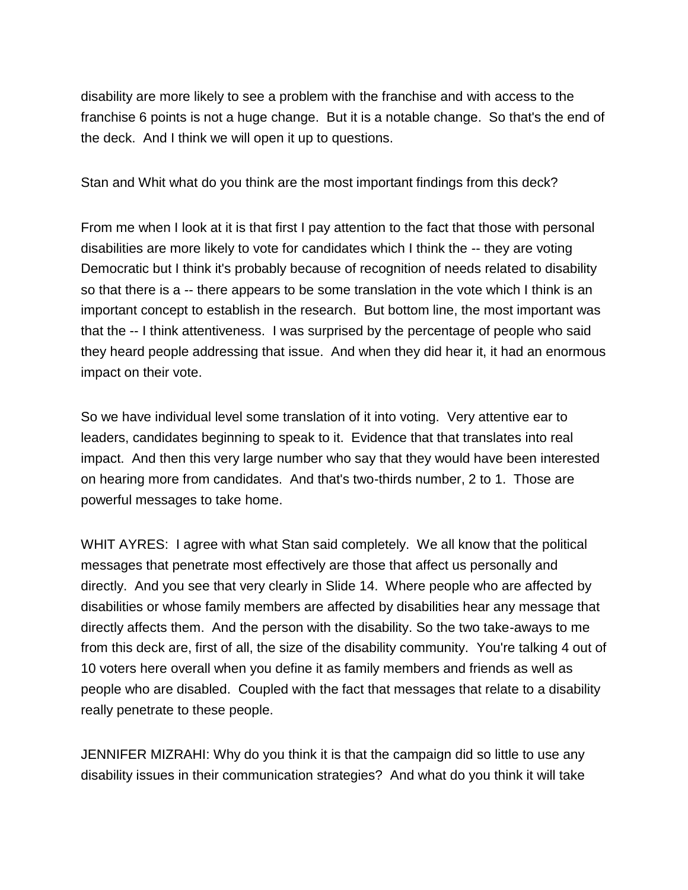disability are more likely to see a problem with the franchise and with access to the franchise 6 points is not a huge change. But it is a notable change. So that's the end of the deck. And I think we will open it up to questions.

Stan and Whit what do you think are the most important findings from this deck?

From me when I look at it is that first I pay attention to the fact that those with personal disabilities are more likely to vote for candidates which I think the -- they are voting Democratic but I think it's probably because of recognition of needs related to disability so that there is a -- there appears to be some translation in the vote which I think is an important concept to establish in the research. But bottom line, the most important was that the -- I think attentiveness. I was surprised by the percentage of people who said they heard people addressing that issue. And when they did hear it, it had an enormous impact on their vote.

So we have individual level some translation of it into voting. Very attentive ear to leaders, candidates beginning to speak to it. Evidence that that translates into real impact. And then this very large number who say that they would have been interested on hearing more from candidates. And that's two-thirds number, 2 to 1. Those are powerful messages to take home.

WHIT AYRES: I agree with what Stan said completely. We all know that the political messages that penetrate most effectively are those that affect us personally and directly. And you see that very clearly in Slide 14. Where people who are affected by disabilities or whose family members are affected by disabilities hear any message that directly affects them. And the person with the disability. So the two take-aways to me from this deck are, first of all, the size of the disability community. You're talking 4 out of 10 voters here overall when you define it as family members and friends as well as people who are disabled. Coupled with the fact that messages that relate to a disability really penetrate to these people.

JENNIFER MIZRAHI: Why do you think it is that the campaign did so little to use any disability issues in their communication strategies? And what do you think it will take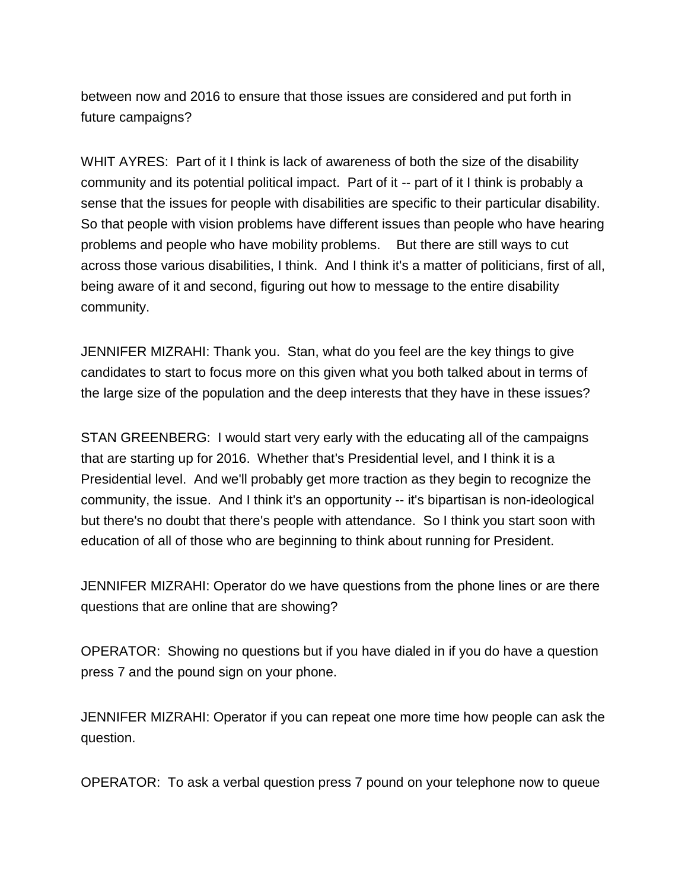between now and 2016 to ensure that those issues are considered and put forth in future campaigns?

WHIT AYRES: Part of it I think is lack of awareness of both the size of the disability community and its potential political impact. Part of it -- part of it I think is probably a sense that the issues for people with disabilities are specific to their particular disability. So that people with vision problems have different issues than people who have hearing problems and people who have mobility problems. But there are still ways to cut across those various disabilities, I think. And I think it's a matter of politicians, first of all, being aware of it and second, figuring out how to message to the entire disability community.

JENNIFER MIZRAHI: Thank you. Stan, what do you feel are the key things to give candidates to start to focus more on this given what you both talked about in terms of the large size of the population and the deep interests that they have in these issues?

STAN GREENBERG: I would start very early with the educating all of the campaigns that are starting up for 2016. Whether that's Presidential level, and I think it is a Presidential level. And we'll probably get more traction as they begin to recognize the community, the issue. And I think it's an opportunity -- it's bipartisan is non-ideological but there's no doubt that there's people with attendance. So I think you start soon with education of all of those who are beginning to think about running for President.

JENNIFER MIZRAHI: Operator do we have questions from the phone lines or are there questions that are online that are showing?

OPERATOR: Showing no questions but if you have dialed in if you do have a question press 7 and the pound sign on your phone.

JENNIFER MIZRAHI: Operator if you can repeat one more time how people can ask the question.

OPERATOR: To ask a verbal question press 7 pound on your telephone now to queue